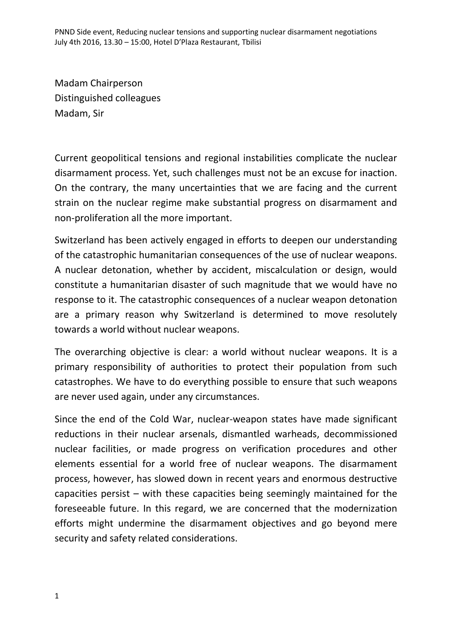Madam Chairperson Distinguished colleagues Madam, Sir

Current geopolitical tensions and regional instabilities complicate the nuclear disarmament process. Yet, such challenges must not be an excuse for inaction. On the contrary, the many uncertainties that we are facing and the current strain on the nuclear regime make substantial progress on disarmament and non-proliferation all the more important.

Switzerland has been actively engaged in efforts to deepen our understanding of the catastrophic humanitarian consequences of the use of nuclear weapons. A nuclear detonation, whether by accident, miscalculation or design, would constitute a humanitarian disaster of such magnitude that we would have no response to it. The catastrophic consequences of a nuclear weapon detonation are a primary reason why Switzerland is determined to move resolutely towards a world without nuclear weapons.

The overarching objective is clear: a world without nuclear weapons. It is a primary responsibility of authorities to protect their population from such catastrophes. We have to do everything possible to ensure that such weapons are never used again, under any circumstances.

Since the end of the Cold War, nuclear-weapon states have made significant reductions in their nuclear arsenals, dismantled warheads, decommissioned nuclear facilities, or made progress on verification procedures and other elements essential for a world free of nuclear weapons. The disarmament process, however, has slowed down in recent years and enormous destructive capacities persist – with these capacities being seemingly maintained for the foreseeable future. In this regard, we are concerned that the modernization efforts might undermine the disarmament objectives and go beyond mere security and safety related considerations.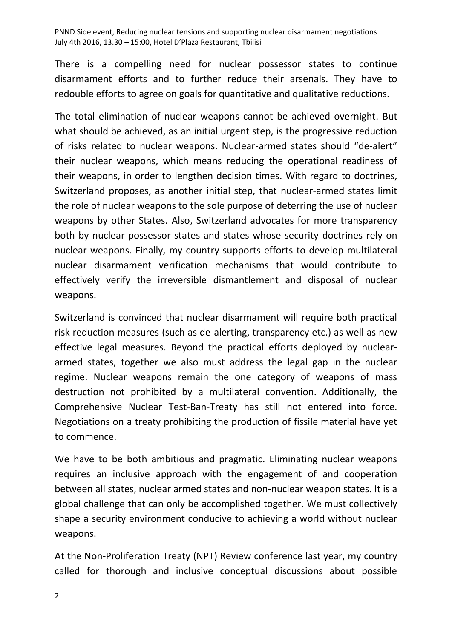There is a compelling need for nuclear possessor states to continue disarmament efforts and to further reduce their arsenals. They have to redouble efforts to agree on goals for quantitative and qualitative reductions.

The total elimination of nuclear weapons cannot be achieved overnight. But what should be achieved, as an initial urgent step, is the progressive reduction of risks related to nuclear weapons. Nuclear-armed states should "de-alert" their nuclear weapons, which means reducing the operational readiness of their weapons, in order to lengthen decision times. With regard to doctrines, Switzerland proposes, as another initial step, that nuclear-armed states limit the role of nuclear weapons to the sole purpose of deterring the use of nuclear weapons by other States. Also, Switzerland advocates for more transparency both by nuclear possessor states and states whose security doctrines rely on nuclear weapons. Finally, my country supports efforts to develop multilateral nuclear disarmament verification mechanisms that would contribute to effectively verify the irreversible dismantlement and disposal of nuclear weapons.

Switzerland is convinced that nuclear disarmament will require both practical risk reduction measures (such as de-alerting, transparency etc.) as well as new effective legal measures. Beyond the practical efforts deployed by nucleararmed states, together we also must address the legal gap in the nuclear regime. Nuclear weapons remain the one category of weapons of mass destruction not prohibited by a multilateral convention. Additionally, the Comprehensive Nuclear Test-Ban-Treaty has still not entered into force. Negotiations on a treaty prohibiting the production of fissile material have yet to commence.

We have to be both ambitious and pragmatic. Eliminating nuclear weapons requires an inclusive approach with the engagement of and cooperation between all states, nuclear armed states and non-nuclear weapon states. It is a global challenge that can only be accomplished together. We must collectively shape a security environment conducive to achieving a world without nuclear weapons.

At the Non-Proliferation Treaty (NPT) Review conference last year, my country called for thorough and inclusive conceptual discussions about possible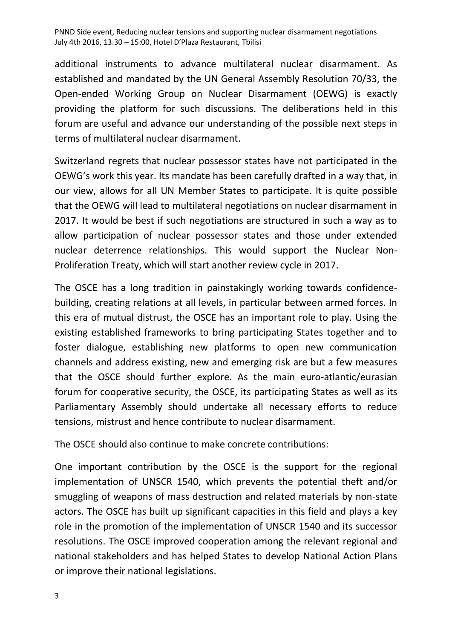additional instruments to advance multilateral nuclear disarmament. As established and mandated by the UN General Assembly Resolution 70/33, the Open-ended Working Group on Nuclear Disarmament (OEWG) is exactly providing the platform for such discussions. The deliberations held in this forum are useful and advance our understanding of the possible next steps in terms of multilateral nuclear disarmament.

Switzerland regrets that nuclear possessor states have not participated in the OEWG's work this year. Its mandate has been carefully drafted in a way that, in our view, allows for all UN Member States to participate. It is quite possible that the OEWG will lead to multilateral negotiations on nuclear disarmament in 2017. It would be best if such negotiations are structured in such a way as to allow participation of nuclear possessor states and those under extended nuclear deterrence relationships. This would support the Nuclear Non-Proliferation Treaty, which will start another review cycle in 2017.

The OSCE has a long tradition in painstakingly working towards confidencebuilding, creating relations at all levels, in particular between armed forces. In this era of mutual distrust, the OSCE has an important role to play. Using the existing established frameworks to bring participating States together and to foster dialogue, establishing new platforms to open new communication channels and address existing, new and emerging risk are but a few measures that the OSCE should further explore. As the main euro-atlantic/eurasian forum for cooperative security, the OSCE, its participating States as well as its Parliamentary Assembly should undertake all necessary efforts to reduce tensions, mistrust and hence contribute to nuclear disarmament.

The OSCE should also continue to make concrete contributions:

One important contribution by the OSCE is the support for the regional implementation of UNSCR 1540, which prevents the potential theft and/or smuggling of weapons of mass destruction and related materials by non-state actors. The OSCE has built up significant capacities in this field and plays a key role in the promotion of the implementation of UNSCR 1540 and its successor resolutions. The OSCE improved cooperation among the relevant regional and national stakeholders and has helped States to develop National Action Plans or improve their national legislations.